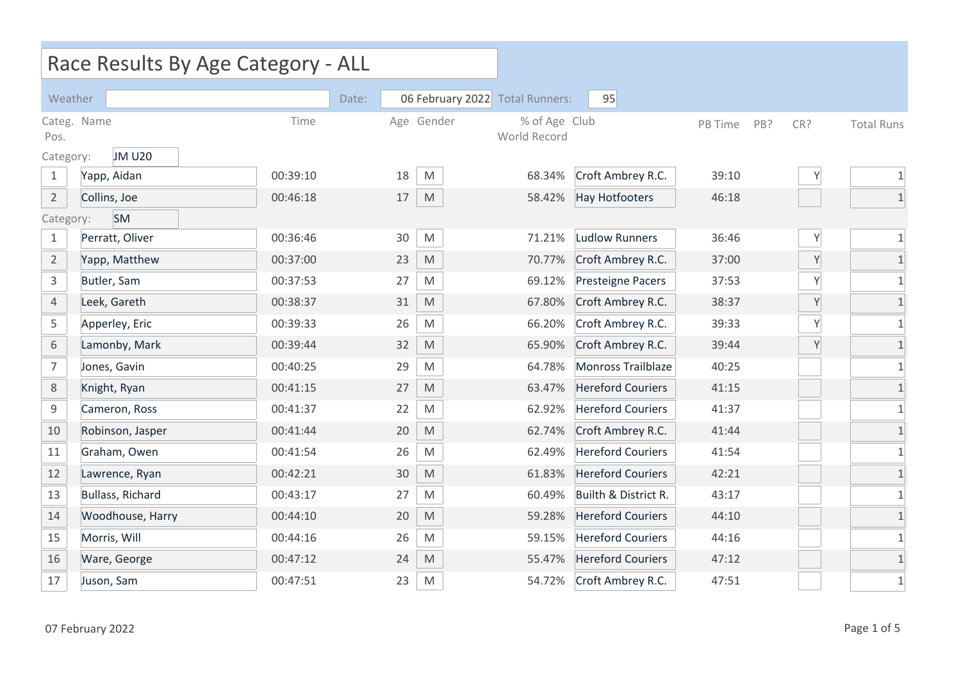|                     | Race Results By Age Category - ALL |          |       |    |                                                                                                            |                               |                           |         |     |     |                   |
|---------------------|------------------------------------|----------|-------|----|------------------------------------------------------------------------------------------------------------|-------------------------------|---------------------------|---------|-----|-----|-------------------|
| Weather             |                                    |          | Date: |    | 06 February 2022                                                                                           | <b>Total Runners:</b>         | 95                        |         |     |     |                   |
| Categ. Name<br>Pos. |                                    | Time     |       |    | Age Gender                                                                                                 | % of Age Club<br>World Record |                           | PB Time | PB? | CR? | <b>Total Runs</b> |
| Category:           | <b>JM U20</b>                      |          |       |    |                                                                                                            |                               |                           |         |     |     |                   |
| $\mathbf{1}$        | Yapp, Aidan                        | 00:39:10 |       | 18 | M                                                                                                          | 68.34%                        | Croft Ambrey R.C.         | 39:10   |     | Υ   | $\mathbf{1}$      |
| $\overline{2}$      | Collins, Joe                       | 00:46:18 |       | 17 | M                                                                                                          | 58.42%                        | <b>Hay Hotfooters</b>     | 46:18   |     |     |                   |
| Category:           | <b>SM</b>                          |          |       |    |                                                                                                            |                               |                           |         |     |     |                   |
| $\mathbf{1}$        | Perratt, Oliver                    | 00:36:46 |       | 30 | M                                                                                                          | 71.21%                        | <b>Ludlow Runners</b>     | 36:46   |     | Y   | $\mathbf 1$       |
| $\overline{2}$      | Yapp, Matthew                      | 00:37:00 |       | 23 | $\mathsf{M}% _{T}=\mathsf{M}_{T}\!\left( a,b\right) ,\ \mathsf{M}_{T}=\mathsf{M}_{T}\!\left( a,b\right) ,$ | 70.77%                        | Croft Ambrey R.C.         | 37:00   |     | Y   | $1\,$             |
| 3                   | Butler, Sam                        | 00:37:53 |       | 27 | M                                                                                                          | 69.12%                        | <b>Presteigne Pacers</b>  | 37:53   |     | Υ   | $1\,$             |
| $\overline{4}$      | Leek, Gareth                       | 00:38:37 |       | 31 | M                                                                                                          | 67.80%                        | Croft Ambrey R.C.         | 38:37   |     | Υ   | $\mathbf{1}$      |
| 5                   | Apperley, Eric                     | 00:39:33 |       | 26 | M                                                                                                          | 66.20%                        | Croft Ambrey R.C.         | 39:33   |     | Y   | $\mathbf{1}$      |
| 6                   | Lamonby, Mark                      | 00:39:44 |       | 32 | M                                                                                                          | 65.90%                        | Croft Ambrey R.C.         | 39:44   |     | Y   | $\mathbf{1}$      |
| $\overline{7}$      | Jones, Gavin                       | 00:40:25 |       | 29 | M                                                                                                          | 64.78%                        | <b>Monross Trailblaze</b> | 40:25   |     |     | $\mathbf 1$       |
| 8                   | Knight, Ryan                       | 00:41:15 |       | 27 | M                                                                                                          | 63.47%                        | <b>Hereford Couriers</b>  | 41:15   |     |     | $\mathbf{1}$      |
| 9                   | Cameron, Ross                      | 00:41:37 |       | 22 | M                                                                                                          | 62.92%                        | <b>Hereford Couriers</b>  | 41:37   |     |     | $1\,$             |
| 10                  | Robinson, Jasper                   | 00:41:44 |       | 20 | M                                                                                                          | 62.74%                        | Croft Ambrey R.C.         | 41:44   |     |     | $\mathbf{1}$      |
| 11                  | Graham, Owen                       | 00:41:54 |       | 26 | M                                                                                                          | 62.49%                        | <b>Hereford Couriers</b>  | 41:54   |     |     | $1\,$             |
| 12                  | Lawrence, Ryan                     | 00:42:21 |       | 30 | M                                                                                                          | 61.83%                        | <b>Hereford Couriers</b>  | 42:21   |     |     | $1\,$             |
| 13                  | <b>Bullass, Richard</b>            | 00:43:17 |       | 27 | M                                                                                                          | 60.49%                        | Builth & District R.      | 43:17   |     |     | $\mathbf 1$       |
| 14                  | Woodhouse, Harry                   | 00:44:10 |       | 20 | M                                                                                                          | 59.28%                        | <b>Hereford Couriers</b>  | 44:10   |     |     | $1\,$             |
| 15                  | Morris, Will                       | 00:44:16 |       | 26 | M                                                                                                          | 59.15%                        | <b>Hereford Couriers</b>  | 44:16   |     |     | $\mathbf{1}$      |
| 16                  | Ware, George                       | 00:47:12 |       | 24 | M                                                                                                          | 55.47%                        | <b>Hereford Couriers</b>  | 47:12   |     |     | $\mathbf{1}$      |
| 17                  | Juson, Sam                         | 00:47:51 |       | 23 | $\mathsf{M}% _{T}=\mathsf{M}_{T}\!\left( a,b\right) ,\ \mathsf{M}_{T}=\mathsf{M}_{T}\!\left( a,b\right) ,$ | 54.72%                        | Croft Ambrey R.C.         | 47:51   |     |     | $1\,$             |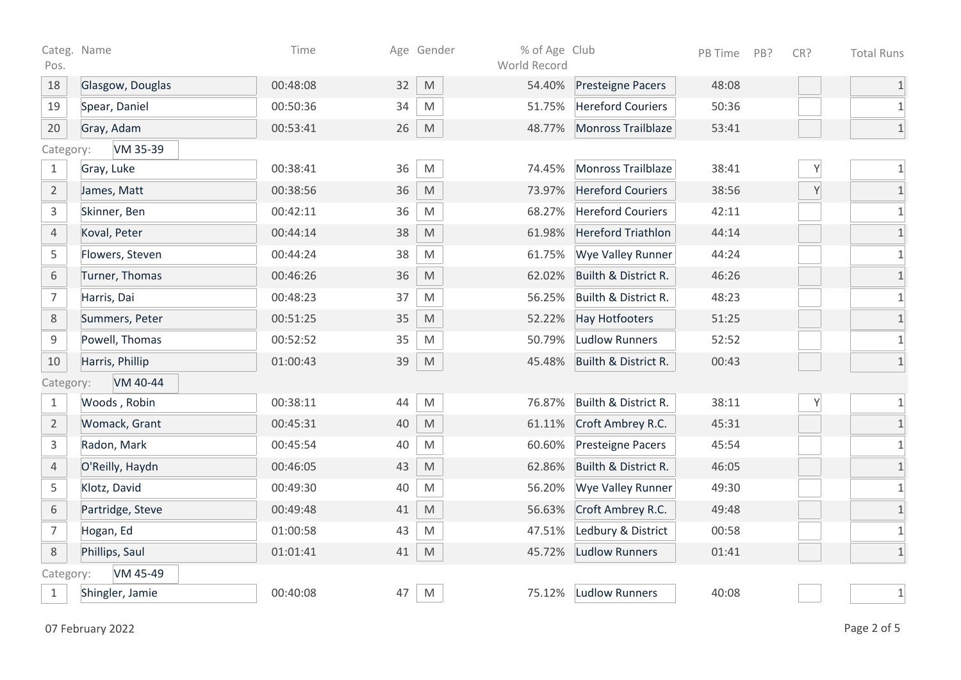| Pos.           | Categ. Name      | Time     |    | Age Gender                                                                                                 | % of Age Club<br>World Record |                           | PB Time | PB? | CR? | <b>Total Runs</b>          |
|----------------|------------------|----------|----|------------------------------------------------------------------------------------------------------------|-------------------------------|---------------------------|---------|-----|-----|----------------------------|
| 18             | Glasgow, Douglas | 00:48:08 | 32 | $\mathsf{M}% _{T}=\mathsf{M}_{T}\!\left( a,b\right) ,\ \mathsf{M}_{T}=\mathsf{M}_{T}\!\left( a,b\right) ,$ | 54.40%                        | <b>Presteigne Pacers</b>  | 48:08   |     |     | $\mathbf{1}$               |
| 19             | Spear, Daniel    | 00:50:36 | 34 | ${\sf M}$                                                                                                  | 51.75%                        | <b>Hereford Couriers</b>  | 50:36   |     |     | $\mathbf{1}$               |
| 20             | Gray, Adam       | 00:53:41 | 26 | ${\sf M}$                                                                                                  | 48.77%                        | Monross Trailblaze        | 53:41   |     |     | $1\,$                      |
| Category:      | VM 35-39         |          |    |                                                                                                            |                               |                           |         |     |     |                            |
| $\mathbf{1}$   | Gray, Luke       | 00:38:41 | 36 | ${\sf M}$                                                                                                  | 74.45%                        | Monross Trailblaze        | 38:41   |     | Y   | $\ensuremath{\mathbbm{1}}$ |
| $\overline{2}$ | James, Matt      | 00:38:56 | 36 | $\mathsf{M}% _{T}=\mathsf{M}_{T}\!\left( a,b\right) ,\ \mathsf{M}_{T}=\mathsf{M}_{T}\!\left( a,b\right) ,$ | 73.97%                        | <b>Hereford Couriers</b>  | 38:56   |     | Y   | $\mathbf{1}$               |
| $\mathsf{3}$   | Skinner, Ben     | 00:42:11 | 36 | M                                                                                                          | 68.27%                        | <b>Hereford Couriers</b>  | 42:11   |     |     | $1\,$                      |
| $\overline{4}$ | Koval, Peter     | 00:44:14 | 38 | M                                                                                                          | 61.98%                        | <b>Hereford Triathlon</b> | 44:14   |     |     | $1\,$                      |
| 5              | Flowers, Steven  | 00:44:24 | 38 | M                                                                                                          | 61.75%                        | Wye Valley Runner         | 44:24   |     |     | $\mathbf{1}$               |
| 6              | Turner, Thomas   | 00:46:26 | 36 | M                                                                                                          | 62.02%                        | Builth & District R.      | 46:26   |     |     | $1\,$                      |
| $\overline{7}$ | Harris, Dai      | 00:48:23 | 37 | $\mathsf{M}% _{T}=\mathsf{M}_{T}\!\left( a,b\right) ,\ \mathsf{M}_{T}=\mathsf{M}_{T}\!\left( a,b\right) ,$ | 56.25%                        | Builth & District R.      | 48:23   |     |     | $\mathbf{1}$               |
| 8              | Summers, Peter   | 00:51:25 | 35 | $\mathsf{M}% _{T}=\mathsf{M}_{T}\!\left( a,b\right) ,\ \mathsf{M}_{T}=\mathsf{M}_{T}\!\left( a,b\right) ,$ | 52.22%                        | <b>Hay Hotfooters</b>     | 51:25   |     |     | $1\,$                      |
| 9              | Powell, Thomas   | 00:52:52 | 35 | M                                                                                                          | 50.79%                        | <b>Ludlow Runners</b>     | 52:52   |     |     | $\mathbf{1}$               |
| 10             | Harris, Phillip  | 01:00:43 | 39 | M                                                                                                          | 45.48%                        | Builth & District R.      | 00:43   |     |     | $1\,$                      |
| Category:      | VM 40-44         |          |    |                                                                                                            |                               |                           |         |     |     |                            |
| $\mathbf{1}$   | Woods, Robin     | 00:38:11 | 44 | M                                                                                                          | 76.87%                        | Builth & District R.      | 38:11   |     | Υ   | $\mathbf{1}$               |
| $\overline{2}$ | Womack, Grant    | 00:45:31 | 40 | M                                                                                                          | 61.11%                        | Croft Ambrey R.C.         | 45:31   |     |     | $1\,$                      |
| $\mathsf{3}$   | Radon, Mark      | 00:45:54 | 40 | M                                                                                                          | 60.60%                        | <b>Presteigne Pacers</b>  | 45:54   |     |     | $\mathbf{1}$               |
| $\overline{4}$ | O'Reilly, Haydn  | 00:46:05 | 43 | $\mathsf{M}% _{T}=\mathsf{M}_{T}\!\left( a,b\right) ,\ \mathsf{M}_{T}=\mathsf{M}_{T}\!\left( a,b\right) ,$ | 62.86%                        | Builth & District R.      | 46:05   |     |     | $1\,$                      |
| 5              | Klotz, David     | 00:49:30 | 40 | M                                                                                                          | 56.20%                        | Wye Valley Runner         | 49:30   |     |     | $\mathbf{1}$               |
| $6\,$          | Partridge, Steve | 00:49:48 | 41 | M                                                                                                          | 56.63%                        | Croft Ambrey R.C.         | 49:48   |     |     | $1\,$                      |
| $\overline{7}$ | Hogan, Ed        | 01:00:58 | 43 | M                                                                                                          | 47.51%                        | Ledbury & District        | 00:58   |     |     | $\mathbf{1}$               |
| $\,8\,$        | Phillips, Saul   | 01:01:41 | 41 | $\mathsf{M}% _{T}=\mathsf{M}_{T}\!\left( a,b\right) ,\ \mathsf{M}_{T}=\mathsf{M}_{T}\!\left( a,b\right) ,$ | 45.72%                        | <b>Ludlow Runners</b>     | 01:41   |     |     | $1\,$                      |
| Category:      | VM 45-49         |          |    |                                                                                                            |                               |                           |         |     |     |                            |
| $\mathbf{1}$   | Shingler, Jamie  | 00:40:08 | 47 | M                                                                                                          | 75.12%                        | <b>Ludlow Runners</b>     | 40:08   |     |     | $\mathbf 1$                |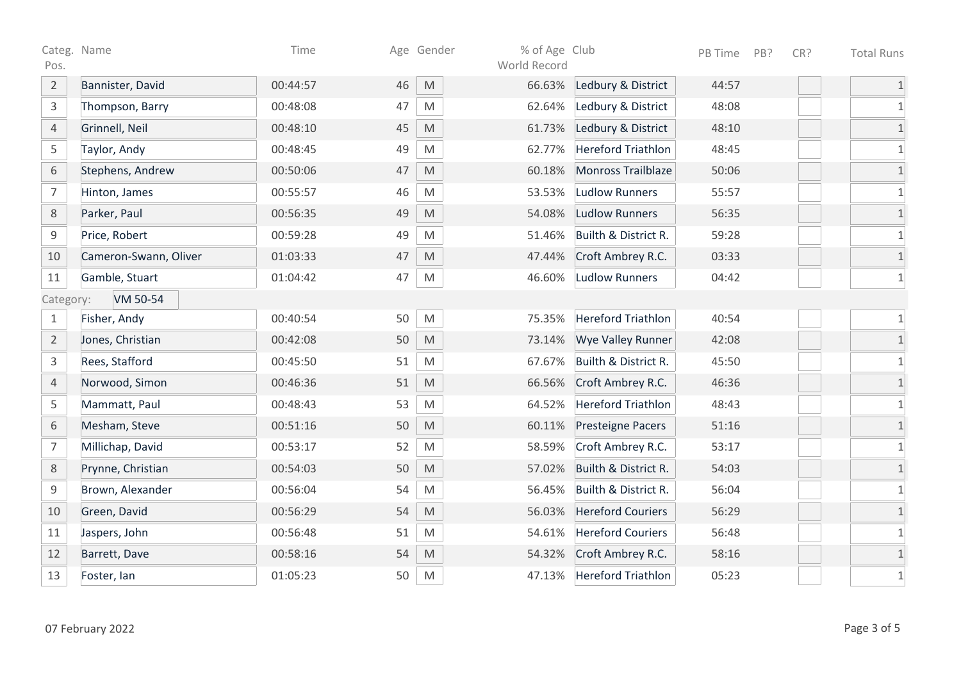| Categ. Name<br>Pos. |                       | Time     |    | Age Gender                                                                                                 | % of Age Club<br>World Record |                           | PB Time | PB? | CR? | <b>Total Runs</b> |
|---------------------|-----------------------|----------|----|------------------------------------------------------------------------------------------------------------|-------------------------------|---------------------------|---------|-----|-----|-------------------|
| $\overline{2}$      | Bannister, David      | 00:44:57 | 46 | $\mathsf{M}% _{T}=\mathsf{M}_{T}\!\left( a,b\right) ,\ \mathsf{M}_{T}=\mathsf{M}_{T}\!\left( a,b\right) ,$ | 66.63%                        | Ledbury & District        | 44:57   |     |     | $\mathbf{1}$      |
| $\mathsf{3}$        | Thompson, Barry       | 00:48:08 | 47 | $\mathsf{M}% _{T}=\mathsf{M}_{T}\!\left( a,b\right) ,\ \mathsf{M}_{T}=\mathsf{M}_{T}\!\left( a,b\right) ,$ | 62.64%                        | Ledbury & District        | 48:08   |     |     | $\mathbf{1}$      |
| $\overline{4}$      | Grinnell, Neil        | 00:48:10 | 45 | $\mathsf{M}% _{T}=\mathsf{M}_{T}\!\left( a,b\right) ,\ \mathsf{M}_{T}=\mathsf{M}_{T}\!\left( a,b\right) ,$ | 61.73%                        | Ledbury & District        | 48:10   |     |     | $1\,$             |
| 5                   | Taylor, Andy          | 00:48:45 | 49 | $\mathsf{M}% _{T}=\mathsf{M}_{T}\!\left( a,b\right) ,\ \mathsf{M}_{T}=\mathsf{M}_{T}\!\left( a,b\right) ,$ | 62.77%                        | <b>Hereford Triathlon</b> | 48:45   |     |     | $1\,$             |
| $\,$ 6 $\,$         | Stephens, Andrew      | 00:50:06 | 47 | $\mathsf{M}% _{T}=\mathsf{M}_{T}\!\left( a,b\right) ,\ \mathsf{M}_{T}=\mathsf{M}_{T}\!\left( a,b\right) ,$ | 60.18%                        | Monross Trailblaze        | 50:06   |     |     | $1\,$             |
| $\overline{7}$      | Hinton, James         | 00:55:57 | 46 | $\mathsf{M}% _{T}=\mathsf{M}_{T}\!\left( a,b\right) ,\ \mathsf{M}_{T}=\mathsf{M}_{T}\!\left( a,b\right) ,$ | 53.53%                        | <b>Ludlow Runners</b>     | 55:57   |     |     | $\mathbf 1$       |
| $\,8\,$             | Parker, Paul          | 00:56:35 | 49 | $\mathsf{M}% _{T}=\mathsf{M}_{T}\!\left( a,b\right) ,\ \mathsf{M}_{T}=\mathsf{M}_{T}\!\left( a,b\right) ,$ | 54.08%                        | <b>Ludlow Runners</b>     | 56:35   |     |     | $\mathbf 1$       |
| 9                   | Price, Robert         | 00:59:28 | 49 | $\mathsf{M}% _{T}=\mathsf{M}_{T}\!\left( a,b\right) ,\ \mathsf{M}_{T}=\mathsf{M}_{T}\!\left( a,b\right) ,$ | 51.46%                        | Builth & District R.      | 59:28   |     |     | $\mathbf 1$       |
| 10                  | Cameron-Swann, Oliver | 01:03:33 | 47 | $\mathsf{M}% _{T}=\mathsf{M}_{T}\!\left( a,b\right) ,\ \mathsf{M}_{T}=\mathsf{M}_{T}\!\left( a,b\right) ,$ | 47.44%                        | Croft Ambrey R.C.         | 03:33   |     |     | $1\,$             |
| 11                  | Gamble, Stuart        | 01:04:42 | 47 | $\mathsf{M}% _{T}=\mathsf{M}_{T}\!\left( a,b\right) ,\ \mathsf{M}_{T}=\mathsf{M}_{T}\!\left( a,b\right) ,$ | 46.60%                        | <b>Ludlow Runners</b>     | 04:42   |     |     | $1\,$             |
| Category:           | VM 50-54              |          |    |                                                                                                            |                               |                           |         |     |     |                   |
| $\mathbf{1}$        | Fisher, Andy          | 00:40:54 | 50 | M                                                                                                          | 75.35%                        | <b>Hereford Triathlon</b> | 40:54   |     |     | $\mathbf 1$       |
| $\overline{2}$      | Jones, Christian      | 00:42:08 | 50 | M                                                                                                          | 73.14%                        | <b>Wye Valley Runner</b>  | 42:08   |     |     | $1\,$             |
| $\mathsf{3}$        | Rees, Stafford        | 00:45:50 | 51 | $\mathsf{M}% _{T}=\mathsf{M}_{T}\!\left( a,b\right) ,\ \mathsf{M}_{T}=\mathsf{M}_{T}\!\left( a,b\right) ,$ | 67.67%                        | Builth & District R.      | 45:50   |     |     | $1\,$             |
| $\overline{4}$      | Norwood, Simon        | 00:46:36 | 51 | $\mathsf{M}% _{T}=\mathsf{M}_{T}\!\left( a,b\right) ,\ \mathsf{M}_{T}=\mathsf{M}_{T}\!\left( a,b\right) ,$ | 66.56%                        | Croft Ambrey R.C.         | 46:36   |     |     | $\mathbf 1$       |
| 5                   | Mammatt, Paul         | 00:48:43 | 53 | $\mathsf{M}% _{T}=\mathsf{M}_{T}\!\left( a,b\right) ,\ \mathsf{M}_{T}=\mathsf{M}_{T}\!\left( a,b\right) ,$ | 64.52%                        | <b>Hereford Triathlon</b> | 48:43   |     |     | $1\,$             |
| $\,$ 6 $\,$         | Mesham, Steve         | 00:51:16 | 50 | $\mathsf{M}% _{T}=\mathsf{M}_{T}\!\left( a,b\right) ,\ \mathsf{M}_{T}=\mathsf{M}_{T}\!\left( a,b\right) ,$ | 60.11%                        | Presteigne Pacers         | 51:16   |     |     | $\mathbf 1$       |
| $\overline{7}$      | Millichap, David      | 00:53:17 | 52 | $\mathsf{M}% _{T}=\mathsf{M}_{T}\!\left( a,b\right) ,\ \mathsf{M}_{T}=\mathsf{M}_{T}\!\left( a,b\right) ,$ | 58.59%                        | Croft Ambrey R.C.         | 53:17   |     |     | $\mathbf 1$       |
| $8\,$               | Prynne, Christian     | 00:54:03 | 50 | $\mathsf{M}% _{T}=\mathsf{M}_{T}\!\left( a,b\right) ,\ \mathsf{M}_{T}=\mathsf{M}_{T}\!\left( a,b\right) ,$ | 57.02%                        | Builth & District R.      | 54:03   |     |     | $\mathbf 1$       |
| 9                   | Brown, Alexander      | 00:56:04 | 54 | $\mathsf{M}% _{T}=\mathsf{M}_{T}\!\left( a,b\right) ,\ \mathsf{M}_{T}=\mathsf{M}_{T}\!\left( a,b\right) ,$ | 56.45%                        | Builth & District R.      | 56:04   |     |     | $\mathbf 1$       |
| 10                  | Green, David          | 00:56:29 | 54 | $\mathsf{M}% _{T}=\mathsf{M}_{T}\!\left( a,b\right) ,\ \mathsf{M}_{T}=\mathsf{M}_{T}\!\left( a,b\right) ,$ | 56.03%                        | <b>Hereford Couriers</b>  | 56:29   |     |     | $\overline{1}$    |
| 11                  | Jaspers, John         | 00:56:48 | 51 | $\mathsf{M}% _{T}=\mathsf{M}_{T}\!\left( a,b\right) ,\ \mathsf{M}_{T}=\mathsf{M}_{T}\!\left( a,b\right) ,$ | 54.61%                        | <b>Hereford Couriers</b>  | 56:48   |     |     | $1\,$             |
| 12                  | Barrett, Dave         | 00:58:16 | 54 | $\mathsf{M}% _{T}=\mathsf{M}_{T}\!\left( a,b\right) ,\ \mathsf{M}_{T}=\mathsf{M}_{T}\!\left( a,b\right) ,$ | 54.32%                        | Croft Ambrey R.C.         | 58:16   |     |     | $1\,$             |
| 13                  | Foster, lan           | 01:05:23 | 50 | M                                                                                                          | 47.13%                        | <b>Hereford Triathlon</b> | 05:23   |     |     | $1\,$             |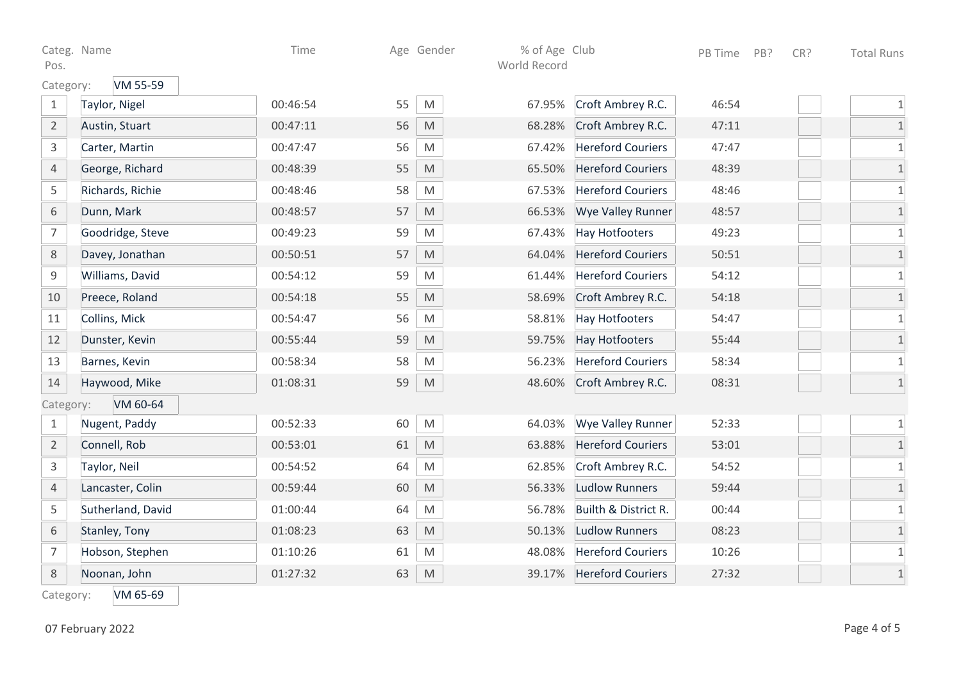| Pos.           | Categ. Name       | Time     |    | Age Gender                                                                                                 | % of Age Club<br>World Record |                          | PB Time | PB? | CR? | <b>Total Runs</b> |
|----------------|-------------------|----------|----|------------------------------------------------------------------------------------------------------------|-------------------------------|--------------------------|---------|-----|-----|-------------------|
| Category:      | VM 55-59          |          |    |                                                                                                            |                               |                          |         |     |     |                   |
| $\mathbf{1}$   | Taylor, Nigel     | 00:46:54 | 55 | M                                                                                                          | 67.95%                        | Croft Ambrey R.C.        | 46:54   |     |     | $1\,$             |
| $\overline{2}$ | Austin, Stuart    | 00:47:11 | 56 | M                                                                                                          | 68.28%                        | Croft Ambrey R.C.        | 47:11   |     |     | $1\,$             |
| 3              | Carter, Martin    | 00:47:47 | 56 | M                                                                                                          | 67.42%                        | <b>Hereford Couriers</b> | 47:47   |     |     | $1\,$             |
| $\overline{4}$ | George, Richard   | 00:48:39 | 55 | $\mathsf{M}% _{T}=\mathsf{M}_{T}\!\left( a,b\right) ,\ \mathsf{M}_{T}=\mathsf{M}_{T}\!\left( a,b\right) ,$ | 65.50%                        | <b>Hereford Couriers</b> | 48:39   |     |     | $1\,$             |
| 5              | Richards, Richie  | 00:48:46 | 58 | M                                                                                                          | 67.53%                        | <b>Hereford Couriers</b> | 48:46   |     |     | $\mathbf 1$       |
| 6              | Dunn, Mark        | 00:48:57 | 57 | M                                                                                                          | 66.53%                        | <b>Wye Valley Runner</b> | 48:57   |     |     | $1\,$             |
| $\overline{7}$ | Goodridge, Steve  | 00:49:23 | 59 | M                                                                                                          | 67.43%                        | Hay Hotfooters           | 49:23   |     |     | $\mathbf 1$       |
| 8              | Davey, Jonathan   | 00:50:51 | 57 | M                                                                                                          | 64.04%                        | <b>Hereford Couriers</b> | 50:51   |     |     | $\mathbf 1$       |
| $\mathsf 9$    | Williams, David   | 00:54:12 | 59 | M                                                                                                          | 61.44%                        | <b>Hereford Couriers</b> | 54:12   |     |     | $1\,$             |
| 10             | Preece, Roland    | 00:54:18 | 55 | $\mathsf{M}% _{T}=\mathsf{M}_{T}\!\left( a,b\right) ,\ \mathsf{M}_{T}=\mathsf{M}_{T}\!\left( a,b\right) ,$ | 58.69%                        | Croft Ambrey R.C.        | 54:18   |     |     | $1\,$             |
| 11             | Collins, Mick     | 00:54:47 | 56 | M                                                                                                          | 58.81%                        | <b>Hay Hotfooters</b>    | 54:47   |     |     | $1\,$             |
| 12             | Dunster, Kevin    | 00:55:44 | 59 | $\mathsf{M}% _{T}=\mathsf{M}_{T}\!\left( a,b\right) ,\ \mathsf{M}_{T}=\mathsf{M}_{T}\!\left( a,b\right) ,$ | 59.75%                        | <b>Hay Hotfooters</b>    | 55:44   |     |     | $1\,$             |
| 13             | Barnes, Kevin     | 00:58:34 | 58 | M                                                                                                          | 56.23%                        | <b>Hereford Couriers</b> | 58:34   |     |     | $\mathbf 1$       |
| 14             | Haywood, Mike     | 01:08:31 | 59 | $\mathsf{M}% _{T}=\mathsf{M}_{T}\!\left( a,b\right) ,\ \mathsf{M}_{T}=\mathsf{M}_{T}\!\left( a,b\right) ,$ | 48.60%                        | Croft Ambrey R.C.        | 08:31   |     |     | $\mathbf 1$       |
| Category:      | VM 60-64          |          |    |                                                                                                            |                               |                          |         |     |     |                   |
| $\mathbf{1}$   | Nugent, Paddy     | 00:52:33 | 60 | M                                                                                                          | 64.03%                        | Wye Valley Runner        | 52:33   |     |     | 1                 |
| $\overline{2}$ | Connell, Rob      | 00:53:01 | 61 | $\mathsf{M}% _{T}=\mathsf{M}_{T}\!\left( a,b\right) ,\ \mathsf{M}_{T}=\mathsf{M}_{T}\!\left( a,b\right) ,$ | 63.88%                        | <b>Hereford Couriers</b> | 53:01   |     |     | $\mathbf{1}$      |
| 3              | Taylor, Neil      | 00:54:52 | 64 | M                                                                                                          | 62.85%                        | Croft Ambrey R.C.        | 54:52   |     |     | $1\,$             |
| $\overline{4}$ | Lancaster, Colin  | 00:59:44 | 60 | M                                                                                                          | 56.33%                        | <b>Ludlow Runners</b>    | 59:44   |     |     | $1\,$             |
| 5              | Sutherland, David | 01:00:44 | 64 | M                                                                                                          | 56.78%                        | Builth & District R.     | 00:44   |     |     | $1\,$             |
| $\,$ 6 $\,$    | Stanley, Tony     | 01:08:23 | 63 | M                                                                                                          | 50.13%                        | Ludlow Runners           | 08:23   |     |     | $\mathbf 1$       |
| $\overline{7}$ | Hobson, Stephen   | 01:10:26 | 61 | M                                                                                                          | 48.08%                        | <b>Hereford Couriers</b> | 10:26   |     |     | 1                 |
| $\,8\,$        | Noonan, John      | 01:27:32 | 63 | $\mathsf{M}% _{T}=\mathsf{M}_{T}\!\left( a,b\right) ,\ \mathsf{M}_{T}=\mathsf{M}_{T}\!\left( a,b\right) ,$ | 39.17%                        | <b>Hereford Couriers</b> | 27:32   |     |     | $\mathbf 1$       |
| Category:      | VM 65-69          |          |    |                                                                                                            |                               |                          |         |     |     |                   |